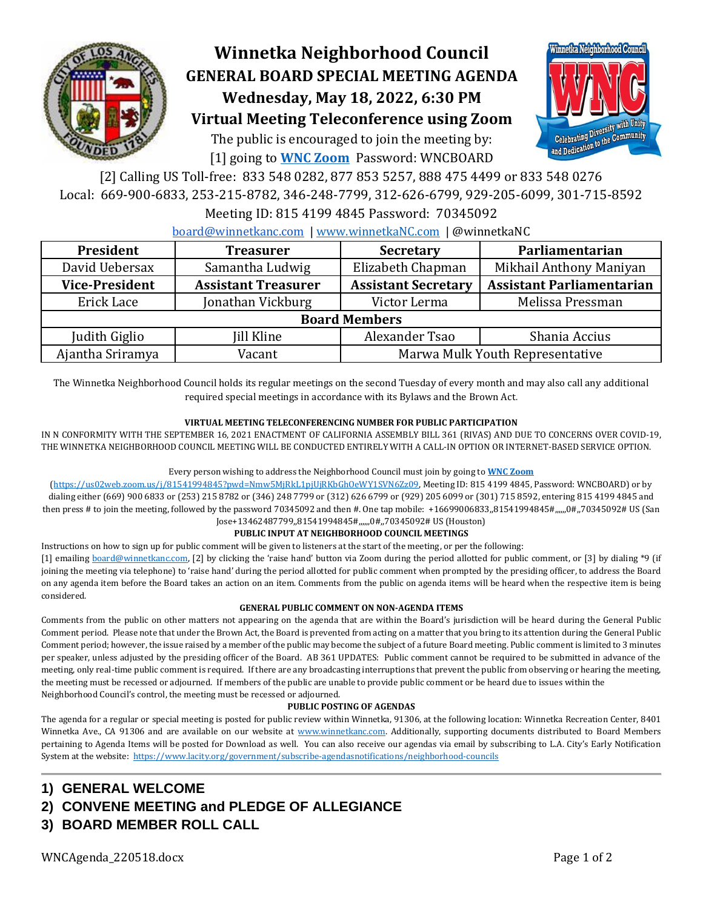

# **Winnetka Neighborhood Council GENERAL BOARD SPECIAL MEETING AGENDA Wednesday, May 18, 2022, 6:30 PM Virtual Meeting Teleconference using Zoom**

The public is encouraged to join the meeting by: [1] going to **[WNC Zoom](https://us02web.zoom.us/j/81541994845?pwd=Nmw5MjRkL1pjUjRKbGhOeWY1SVN6Zz09)** Password: WNCBOARD



[2] Calling US Toll-free: 833 548 0282, 877 853 5257, 888 475 4499 or 833 548 0276 Local: 669-900-6833, 253-215-8782, 346-248-7799, 312-626-6799, 929-205-6099, 301-715-8592

## Meeting ID: 815 4199 4845 Password: 70345092

[board@winnetkanc.com](mailto:board@winnetkanc.com) | [www.winnetkaNC.com](http://www.winnetkanc.com/) | @winnetkaNC

| President             | <b>Treasurer</b>           | <b>Secretary</b>                | Parliamentarian                  |
|-----------------------|----------------------------|---------------------------------|----------------------------------|
| David Uebersax        | Samantha Ludwig            | Elizabeth Chapman               | Mikhail Anthony Maniyan          |
| <b>Vice-President</b> | <b>Assistant Treasurer</b> | <b>Assistant Secretary</b>      | <b>Assistant Parliamentarian</b> |
| Erick Lace            | Jonathan Vickburg          | Victor Lerma                    | Melissa Pressman                 |
| <b>Board Members</b>  |                            |                                 |                                  |
| Judith Giglio         | <b>Jill Kline</b>          | Alexander Tsao                  | Shania Accius                    |
| Ajantha Sriramya      | Vacant                     | Marwa Mulk Youth Representative |                                  |

The Winnetka Neighborhood Council holds its regular meetings on the second Tuesday of every month and may also call any additional required special meetings in accordance with its Bylaws and the Brown Act.

### **VIRTUAL MEETING TELECONFERENCING NUMBER FOR PUBLIC PARTICIPATION**

IN N CONFORMITY WITH THE SEPTEMBER 16, 2021 ENACTMENT OF CALIFORNIA ASSEMBLY BILL 361 (RIVAS) AND DUE TO CONCERNS OVER COVID-19, THE WINNETKA NEIGHBORHOOD COUNCIL MEETING WILL BE CONDUCTED ENTIRELY WITH A CALL-IN OPTION OR INTERNET-BASED SERVICE OPTION.

### Every person wishing to address the Neighborhood Council must join by going to **[WNC Zoom](https://us02web.zoom.us/j/81541994845?pwd=Nmw5MjRkL1pjUjRKbGhOeWY1SVN6Zz09)**

[\(https://us02web.zoom.us/j/81541994845?pwd=Nmw5MjRkL1pjUjRKbGhOeWY1SVN6Zz09,](https://us02web.zoom.us/j/81541994845?pwd=Nmw5MjRkL1pjUjRKbGhOeWY1SVN6Zz09) Meeting ID: 815 4199 4845, Password: WNCBOARD) or by dialing either (669) 900 6833 or (253) 215 8782 or (346) 248 7799 or (312) 626 6799 or (929) 205 6099 or (301) 715 8592, entering 815 4199 4845 and then press # to join the meeting, followed by the password 70345092 and then #. One tap mobile: +16699006833,81541994845#,,,,,,0#,,70345092# US (San Jose+13462487799,,81541994845#,,,,,,0#,,70345092# US (Houston)

### **PUBLIC INPUT AT NEIGHBORHOOD COUNCIL MEETINGS**

Instructions on how to sign up for public comment will be given to listeners at the start of the meeting, or per the following:

[1] emailing [board@winnetkanc.com](mailto:board@winnetkanc.com), [2] by clicking the 'raise hand' button via Zoom during the period allotted for public comment, or [3] by dialing \*9 (if joining the meeting via telephone) to 'raise hand' during the period allotted for public comment when prompted by the presiding officer, to address the Board on any agenda item before the Board takes an action on an item. Comments from the public on agenda items will be heard when the respective item is being considered.

### **GENERAL PUBLIC COMMENT ON NON-AGENDA ITEMS**

Comments from the public on other matters not appearing on the agenda that are within the Board's jurisdiction will be heard during the General Public Comment period. Please note that under the Brown Act, the Board is prevented from acting on a matter that you bring to its attention during the General Public Comment period; however, the issue raised by a member of the public may become the subject of a future Board meeting. Public comment is limited to 3 minutes per speaker, unless adjusted by the presiding officer of the Board. AB 361 UPDATES: Public comment cannot be required to be submitted in advance of the meeting, only real-time public comment is required. If there are any broadcasting interruptions that prevent the public from observing or hearing the meeting, the meeting must be recessed or adjourned. If members of the public are unable to provide public comment or be heard due to issues within the Neighborhood Council's control, the meeting must be recessed or adjourned.

### **PUBLIC POSTING OF AGENDAS**

The agenda for a regular or special meeting is posted for public review within Winnetka, 91306, at the following location: Winnetka Recreation Center, 8401 Winnetka Ave., CA 91306 and are available on our website at [www.winnetkanc.com.](file://///UUEBERBASE/Users/uuebmeister/Documents/Community/Winnetka%20Neighborhood%20Council/WNC%20Board%20Agendas%20and%20Minutes/www.winnetkanc.com) Additionally, supporting documents distributed to Board Members pertaining to Agenda Items will be posted for Download as well. You can also receive our agendas via email by subscribing to L.A. City's Early Notification System at the website:<https://www.lacity.org/government/subscribe-agendasnotifications/neighborhood-councils>

- **1) GENERAL WELCOME**
- **2) CONVENE MEETING and PLEDGE OF ALLEGIANCE**
- **3) BOARD MEMBER ROLL CALL**